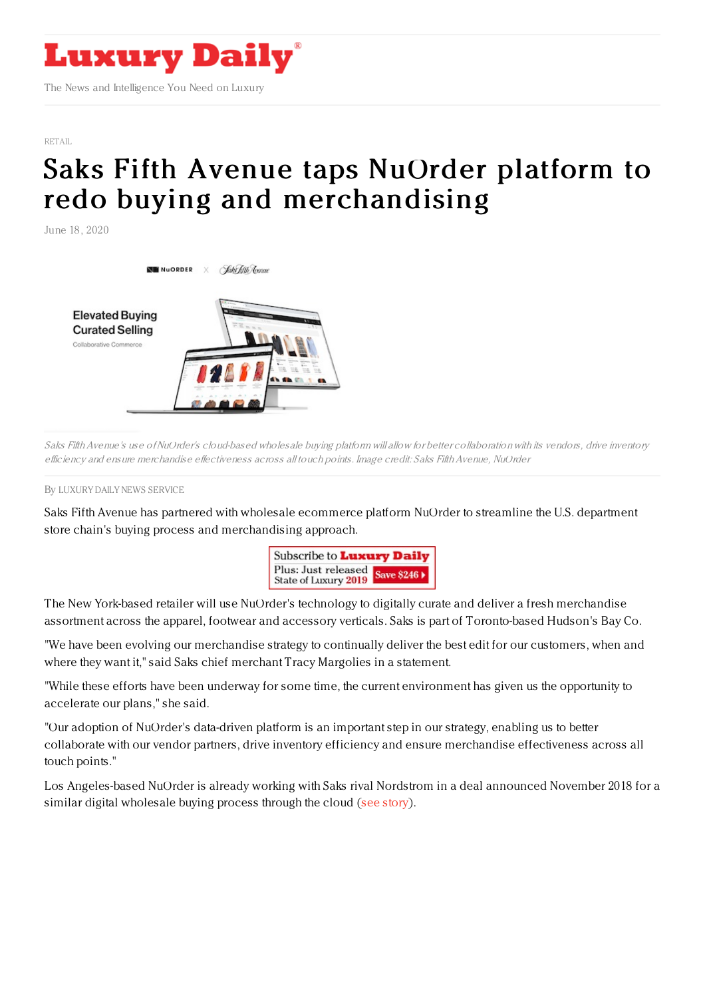

[RETAIL](https://www.luxurydaily.com/category/sectors/retail-industry-sectors/)

## Saks Fifth Avenue taps NuOrder platform to redo buying and [merchandising](https://www.luxurydaily.com/saks-fifth-avenue-taps-nuorder-platform-to-redo-buying-and-merchandising/)

June 18, 2020



Saks Fifth Avenue's use of NuOrder's cloud-based wholesale buying platform will allow for better collaboration with its vendors, drive inventory efficiency and ensure merchandise effectiveness across all touch points. Image credit: Saks Fifth Avenue, NuOrder

By LUXURY DAILY NEWS [SERVICE](file:///author/luxury-daily-news-service)

Saks Fifth Avenue has partnered with wholesale ecommerce platform NuOrder to streamline the U.S. department store chain's buying process and merchandising approach.



The New York-based retailer will use NuOrder's technology to digitally curate and deliver a fresh merchandise assortment across the apparel, footwear and accessory verticals. Saks is part of Toronto-based Hudson's Bay Co.

"We have been evolving our merchandise strategy to continually deliver the best edit for our customers, when and where they want it," said Saks chief merchant Tracy Margolies in a statement.

"While these efforts have been underway for some time, the current environment has given us the opportunity to accelerate our plans," she said.

"Our adoption of NuOrder's data-driven platform is an important step in our strategy, enabling us to better collaborate with our vendor partners, drive inventory efficiency and ensure merchandise effectiveness across all touch points."

Los Angeles-based NuOrder is already working with Saks rival Nordstrom in a deal announced November 2018 for a similar digital wholesale buying process through the cloud (see [story](https://www.luxurydaily.com/nordstrom-ramps-up-its-digital-wholesale-buying-process/)).